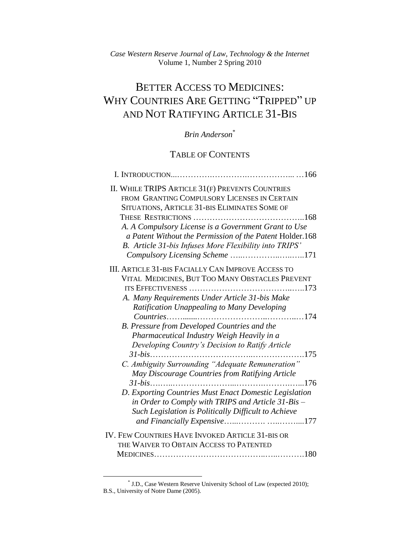*Case Western Reserve Journal of Law, Technology & the Internet* Volume 1, Number 2 Spring 2010

# BETTER ACCESS TO MEDICINES: WHY COUNTRIES ARE GETTING "TRIPPED" UP AND NOT RATIFYING ARTICLE 31-BIS

# *Brin Anderson*\*

# TABLE OF CONTENTS

| I. INTRODUCTION                                                                                                                                                                                                                                                                                                                                                                                                                                                                          |              |
|------------------------------------------------------------------------------------------------------------------------------------------------------------------------------------------------------------------------------------------------------------------------------------------------------------------------------------------------------------------------------------------------------------------------------------------------------------------------------------------|--------------|
| II. WHILE TRIPS ARTICLE 31(F) PREVENTS COUNTRIES<br>FROM GRANTING COMPULSORY LICENSES IN CERTAIN<br>SITUATIONS, ARTICLE 31-BIS ELIMINATES SOME OF                                                                                                                                                                                                                                                                                                                                        | - 168        |
| A. A Compulsory License is a Government Grant to Use                                                                                                                                                                                                                                                                                                                                                                                                                                     |              |
| a Patent Without the Permission of the Patent Holder.168<br>B. Article 31-bis Infuses More Flexibility into TRIPS'                                                                                                                                                                                                                                                                                                                                                                       |              |
|                                                                                                                                                                                                                                                                                                                                                                                                                                                                                          |              |
| <b>III. ARTICLE 31-BIS FACIALLY CAN IMPROVE ACCESS TO</b><br>VITAL MEDICINES, BUT TOO MANY OBSTACLES PREVENT<br>A. Many Requirements Under Article 31-bis Make<br>Ratification Unappealing to Many Developing<br>174<br>B. Pressure from Developed Countries and the<br>Pharmaceutical Industry Weigh Heavily in a<br>Developing Country's Decision to Ratify Article<br>$31-bis$<br>C. Ambiguity Surrounding "Adequate Remuneration"<br>May Discourage Countries from Ratifying Article | . 173<br>175 |
| $31$ -bis<br>.                                                                                                                                                                                                                                                                                                                                                                                                                                                                           | .176         |
| D. Exporting Countries Must Enact Domestic Legislation<br>in Order to Comply with TRIPS and Article 31-Bis -<br>Such Legislation is Politically Difficult to Achieve                                                                                                                                                                                                                                                                                                                     |              |
| <b>IV. FEW COUNTRIES HAVE INVOKED ARTICLE 31-BIS OR</b>                                                                                                                                                                                                                                                                                                                                                                                                                                  |              |
| THE WAIVER TO OBTAIN ACCESS TO PATENTED                                                                                                                                                                                                                                                                                                                                                                                                                                                  |              |
|                                                                                                                                                                                                                                                                                                                                                                                                                                                                                          | 180          |

 \* J.D., Case Western Reserve University School of Law (expected 2010); B.S., University of Notre Dame (2005).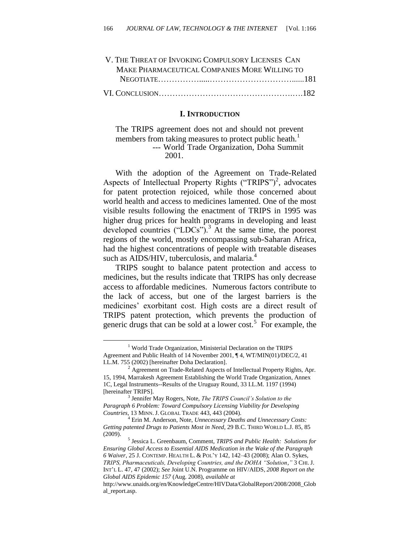| V. THE THREAT OF INVOKING COMPULSORY LICENSES CAN |
|---------------------------------------------------|
| MAKE PHARMACEUTICAL COMPANIES MORE WILLING TO     |
|                                                   |
|                                                   |

#### **I. INTRODUCTION**

The TRIPS agreement does not and should not prevent members from taking measures to protect public heath.<sup>1</sup> --- World Trade Organization, Doha Summit 2001.

With the adoption of the Agreement on Trade-Related Aspects of Intellectual Property Rights ("TRIPS")<sup>2</sup>, advocates for patent protection rejoiced, while those concerned about world health and access to medicines lamented. One of the most visible results following the enactment of TRIPS in 1995 was higher drug prices for health programs in developing and least developed countries  $("LDCs")$ .<sup>3</sup> At the same time, the poorest regions of the world, mostly encompassing sub-Saharan Africa, had the highest concentrations of people with treatable diseases such as AIDS/HIV, tuberculosis, and malaria.<sup>4</sup>

TRIPS sought to balance patent protection and access to medicines, but the results indicate that TRIPS has only decrease access to affordable medicines. Numerous factors contribute to the lack of access, but one of the largest barriers is the medicines' exorbitant cost. High costs are a direct result of TRIPS patent protection, which prevents the production of generic drugs that can be sold at a lower cost.<sup>5</sup> For example, the

<sup>&</sup>lt;sup>1</sup> World Trade Organization, Ministerial Declaration on the TRIPS Agreement and Public Health of 14 November 2001, ¶ 4, WT/MIN(01)/DEC/2, 41 I.L.M. 755 (2002) [hereinafter Doha Declaration].

 $2$  Agreement on Trade-Related Aspects of Intellectual Property Rights, Apr. 15, 1994, Marrakesh Agreement Establishing the World Trade Organization, Annex 1C, Legal Instruments--Results of the Uruguay Round, 33 I.L.M. 1197 (1994) [hereinafter TRIPS].

<sup>3</sup> Jennifer May Rogers, Note, *The TRIPS Council"s Solution to the Paragraph 6 Problem: Toward Compulsory Licensing Viability for Developing Countries*, 13 MINN. J. GLOBAL TRADE 443, 443 (2004).

<sup>4</sup> Erin M. Anderson, Note, *Unnecessary Deaths and Unnecessary Costs: Getting patented Drugs to Patients Most in Need*, 29 B.C. THIRD WORLD L.J. 85, 85 (2009).

<sup>5</sup> Jessica L. Greenbaum, Comment, *TRIPS and Public Health: Solutions for Ensuring Global Access to Essential AIDS Medication in the Wake of the Paragraph 6 Waiver*, 25 J. CONTEMP. HEALTH L. & POL'Y 142, 142–43 (2008); Alan O. Sykes, *TRIPS, Pharmaceuticals, Developing Countries, and the DOHA "Solution*,*"* 3 CHI. J. INT'L L. 47, 47 (2002); *See* Joint U.N. Programme on HIV/AIDS, *[2008 Report](http://web2.westlaw.com/result/result.aspx?ss=CNT&rp=%2fWelcome%2f208%2fdefault.wl&origin=Search&cfid=1&sri=327%2c328&rlt=CLID_QRYRLT22532135213212&n=5&sskey=CLID_SSSA57594105213212&eq=Welcome%2f208&method=TNC&query=%222008+REPORT+ON+THE+GLOBAL+AIDS+EPIDEMIC%22&srch=TRUE&db=TP-ALL%2cJLR&rlti=1&fmqv=s&service=Search&cnt=DOC&scxt=WL&rltdb=CLID_DB30594105213212&ReferencePositionType=T&ReferencePosition=SR%3B16873&AP=&fn=_top&rs=WLW10.02&ifm=NotSet&mt=208&vr=2.0&sv=Split) on the Global AIDS Epidemic 157* (Aug. 2008), *available at*

http://www.unaids.org/en/KnowledgeCentre/HIVData/GlobalReport/2008/2008\_Glob al\_report.asp.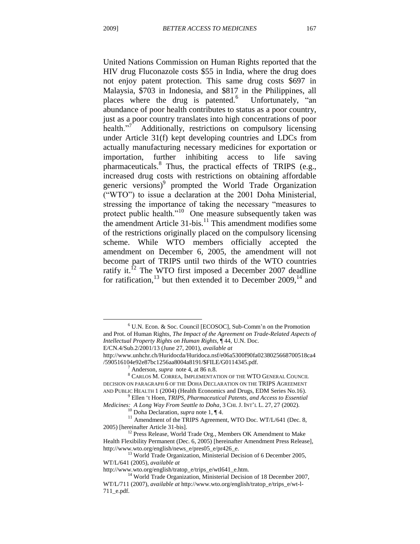$\overline{a}$ 

United Nations Commission on Human Rights reported that the HIV drug Fluconazole costs \$55 in India, where the drug does not enjoy patent protection. This same drug costs \$697 in Malaysia, \$703 in Indonesia, and \$817 in the Philippines, all places where the drug is patented.<sup>6</sup> Unfortunately, "an abundance of poor health contributes to status as a poor country, just as a poor country translates into high concentrations of poor health."<sup>7</sup> Additionally, restrictions on compulsory licensing under Article 31(f) kept developing countries and LDCs from actually manufacturing necessary medicines for exportation or importation, further inhibiting access to life saving pharmaceuticals.<sup>8</sup> Thus, the practical effects of TRIPS (e.g., increased drug costs with restrictions on obtaining affordable generic versions)<sup>9</sup> prompted the World Trade Organization (―WTO‖) to issue a declaration at the 2001 Doha Ministerial, stressing the importance of taking the necessary "measures to protect public health."<sup>10</sup> One measure subsequently taken was the amendment Article 31-bis.<sup>11</sup> This amendment modifies some of the restrictions originally placed on the compulsory licensing scheme. While WTO members officially accepted the amendment on December 6, 2005, the amendment will not become part of TRIPS until two thirds of the WTO countries ratify it.<sup>12</sup> The WTO first imposed a December 2007 deadline for ratification, $^{13}$  but then extended it to December 2009, $^{14}$  and

 $6$  U.N. Econ. & Soc. Council [ECOSOC], Sub-Comm'n on the Promotion and Prot. of Human Rights, *The Impact of the Agreement on Trade-Related Aspects of Intellectual Property Rights on Human Rights*, ¶ 44, U.N. Doc. E/CN.4/Sub.2/2001/13 (June 27, 2001), *available at* 

http://www.unhchr.ch/Huridocda/Huridoca.nsf/e06a5300f90fa0238025668700518ca4 /590516104e92e87bc1256aa8004a8191/\$FILE/G0114345.pdf.

<sup>7</sup> Anderson, *supra* note 4, at 86 n.8.

<sup>8</sup> CARLOS M. CORREA, IMPLEMENTATION OF THE WTO GENERAL COUNCIL DECISION ON PARAGRAPH 6 OF THE DOHA DECLARATION ON THE TRIPS AGREEMENT AND PUBLIC HEALTH 1 (2004) (Health Economics and Drugs, EDM Series No.16).

<sup>9</sup> Ellen ‗t Hoen, *TRIPS, Pharmaceutical Patents, and Access to Essential Medicines: A Long Way From Seattle to Doha*, 3 CHI. J. INT'L L. 27, 27 (2002).

<sup>10</sup> Doha Declaration, *supra* note 1, ¶ 4.

<sup>&</sup>lt;sup>11</sup> Amendment of the TRIPS Agreement, WTO Doc. WT/L/641 (Dec. 8, 2005) [hereinafter Article 31-bis].

<sup>&</sup>lt;sup>12</sup> Press Release, World Trade Org., Members OK Amendment to Make Health Flexibility Permanent (Dec. 6, 2005) [hereinafter Amendment Press Release], http://www.wto.org/english/news\_e/pres05\_e/pr426\_e.

<sup>&</sup>lt;sup>13</sup> World Trade Organization, Ministerial Decision of 6 December 2005, [WT/](https://web2.westlaw.com/result/result.aspx?rltdb=CLID_DB27504365820212&db=JLR&srch=TRUE&service=Search&sskey=CLID_SSSA43520365820212&fmqv=s&referencepositiontype=T&rlti=1&sv=Split&elmap=Inline&referenceposition=SR%3b18111&method=TNC&origin=Search&query=%22WT%2fL%2f641%22&mt=208&eq=Welcome%2f208&vr=2.0&sri=328&rlt=CLID_QRYRLT49567375820212&n=28&rp=%2fWelcome%2f208%2fdefault.wl&ss=CNT&cnt=DOC&cfid=1&scxt=WL&rs=WLW10.02&fn=_top)[L/](https://web2.westlaw.com/result/result.aspx?rltdb=CLID_DB27504365820212&db=JLR&srch=TRUE&service=Search&sskey=CLID_SSSA43520365820212&fmqv=s&referencepositiontype=T&rlti=1&sv=Split&elmap=Inline&referenceposition=SR%3b18112&method=TNC&origin=Search&query=%22WT%2fL%2f641%22&mt=208&eq=Welcome%2f208&vr=2.0&sri=328&rlt=CLID_QRYRLT49567375820212&n=28&rp=%2fWelcome%2f208%2fdefault.wl&ss=CNT&cnt=DOC&cfid=1&scxt=WL&rs=WLW10.02&fn=_top)[641](https://web2.westlaw.com/result/result.aspx?rltdb=CLID_DB27504365820212&db=JLR&srch=TRUE&service=Search&sskey=CLID_SSSA43520365820212&fmqv=s&referencepositiontype=T&rlti=1&sv=Split&elmap=Inline&referenceposition=SR%3b18113&method=TNC&origin=Search&query=%22WT%2fL%2f641%22&mt=208&eq=Welcome%2f208&vr=2.0&sri=328&rlt=CLID_QRYRLT49567375820212&n=28&rp=%2fWelcome%2f208%2fdefault.wl&ss=CNT&cnt=DOC&cfid=1&scxt=WL&rs=WLW10.02&fn=_top) (2005), *available at*

http://www.wto.org/english/tratop\_e/trips\_e/wtl641\_e.htm.

<sup>&</sup>lt;sup>14</sup> World Trade Organization, Ministerial Decision of 18 December 2007, [WT/](https://web2.westlaw.com/result/result.aspx?rltdb=CLID_DB27504365820212&db=JLR&srch=TRUE&service=Search&sskey=CLID_SSSA43520365820212&fmqv=s&referencepositiontype=T&rlti=1&sv=Split&elmap=Inline&referenceposition=SR%3b18111&method=TNC&origin=Search&query=%22WT%2fL%2f641%22&mt=208&eq=Welcome%2f208&vr=2.0&sri=328&rlt=CLID_QRYRLT49567375820212&n=28&rp=%2fWelcome%2f208%2fdefault.wl&ss=CNT&cnt=DOC&cfid=1&scxt=WL&rs=WLW10.02&fn=_top)[L/](https://web2.westlaw.com/result/result.aspx?rltdb=CLID_DB27504365820212&db=JLR&srch=TRUE&service=Search&sskey=CLID_SSSA43520365820212&fmqv=s&referencepositiontype=T&rlti=1&sv=Split&elmap=Inline&referenceposition=SR%3b18112&method=TNC&origin=Search&query=%22WT%2fL%2f641%22&mt=208&eq=Welcome%2f208&vr=2.0&sri=328&rlt=CLID_QRYRLT49567375820212&n=28&rp=%2fWelcome%2f208%2fdefault.wl&ss=CNT&cnt=DOC&cfid=1&scxt=WL&rs=WLW10.02&fn=_top)[711](https://web2.westlaw.com/result/result.aspx?rltdb=CLID_DB27504365820212&db=JLR&srch=TRUE&service=Search&sskey=CLID_SSSA43520365820212&fmqv=s&referencepositiontype=T&rlti=1&sv=Split&elmap=Inline&referenceposition=SR%3b18113&method=TNC&origin=Search&query=%22WT%2fL%2f641%22&mt=208&eq=Welcome%2f208&vr=2.0&sri=328&rlt=CLID_QRYRLT49567375820212&n=28&rp=%2fWelcome%2f208%2fdefault.wl&ss=CNT&cnt=DOC&cfid=1&scxt=WL&rs=WLW10.02&fn=_top) (2007), *available at* http://www.wto.org/english/tratop\_e/trips\_e/wt-l-711\_e.pdf.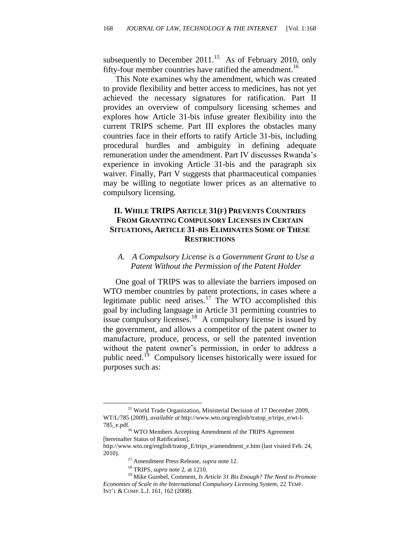subsequently to December  $2011<sup>15</sup>$  As of February 2010, only fifty-four member countries have ratified the amendment.<sup>16</sup>

This Note examines why the amendment, which was created to provide flexibility and better access to medicines, has not yet achieved the necessary signatures for ratification. Part II provides an overview of compulsory licensing schemes and explores how Article 31-bis infuse greater flexibility into the current TRIPS scheme. Part III explores the obstacles many countries face in their efforts to ratify Article 31-bis, including procedural hurdles and ambiguity in defining adequate remuneration under the amendment. Part IV discusses Rwanda's experience in invoking Article 31-bis and the paragraph six waiver. Finally, Part V suggests that pharmaceutical companies may be willing to negotiate lower prices as an alternative to compulsory licensing.

# **II. WHILE TRIPS ARTICLE 31(F) PREVENTS COUNTRIES FROM GRANTING COMPULSORY LICENSES IN CERTAIN SITUATIONS, ARTICLE 31-BIS ELIMINATES SOME OF THESE RESTRICTIONS**

# *A. A Compulsory License is a Government Grant to Use a Patent Without the Permission of the Patent Holder*

One goal of TRIPS was to alleviate the barriers imposed on WTO member countries by patent protections, in cases where a legitimate public need arises. $17$  The WTO accomplished this goal by including language in Article 31 permitting countries to issue compulsory licenses.<sup>18</sup> A compulsory license is issued by the government, and allows a competitor of the patent owner to manufacture, produce, process, or sell the patented invention without the patent owner's permission, in order to address a public need.<sup>19</sup> Compulsory licenses historically were issued for purposes such as:

<sup>&</sup>lt;sup>15</sup> World Trade Organization, Ministerial Decision of 17 December 2009, [WT/](https://web2.westlaw.com/result/result.aspx?rltdb=CLID_DB27504365820212&db=JLR&srch=TRUE&service=Search&sskey=CLID_SSSA43520365820212&fmqv=s&referencepositiontype=T&rlti=1&sv=Split&elmap=Inline&referenceposition=SR%3b18111&method=TNC&origin=Search&query=%22WT%2fL%2f641%22&mt=208&eq=Welcome%2f208&vr=2.0&sri=328&rlt=CLID_QRYRLT49567375820212&n=28&rp=%2fWelcome%2f208%2fdefault.wl&ss=CNT&cnt=DOC&cfid=1&scxt=WL&rs=WLW10.02&fn=_top)[L/7](https://web2.westlaw.com/result/result.aspx?rltdb=CLID_DB27504365820212&db=JLR&srch=TRUE&service=Search&sskey=CLID_SSSA43520365820212&fmqv=s&referencepositiontype=T&rlti=1&sv=Split&elmap=Inline&referenceposition=SR%3b18112&method=TNC&origin=Search&query=%22WT%2fL%2f641%22&mt=208&eq=Welcome%2f208&vr=2.0&sri=328&rlt=CLID_QRYRLT49567375820212&n=28&rp=%2fWelcome%2f208%2fdefault.wl&ss=CNT&cnt=DOC&cfid=1&scxt=WL&rs=WLW10.02&fn=_top)85 (2009), *available at* http://www.wto.org/english/tratop\_e/trips\_e/wt-l-785\_e.pdf.

<sup>&</sup>lt;sup>16</sup> WTO Members Accepting Amendment of the TRIPS Agreement [hereinafter Status of Ratification],

http://www.wto.org/english/tratop\_E/trips\_e/amendment\_e.htm (last visited Feb. 24, 2010).

<sup>17</sup> Amendment Press Release, *supra* note 12.

<sup>18</sup> TRIPS, *supra* note 2, at 1210.

<sup>19</sup> Mike Gumbel, Comment, *Is Article 31 Bis Enough? The Need to Promote Economies of Scale in the International Compulsory Licensing System*, 22 TEMP. INT'L & COMP. L.J. 161, 162 (2008).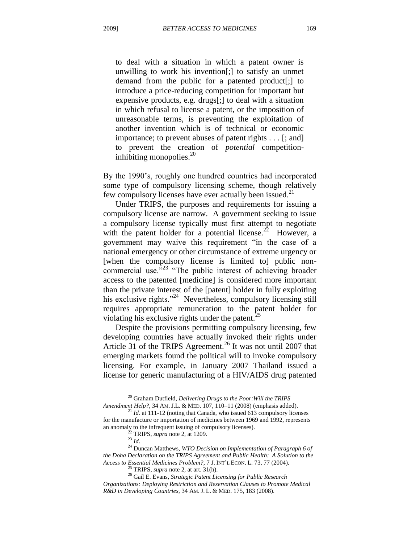to deal with a situation in which a patent owner is unwilling to work his invention[;] to satisfy an unmet demand from the public for a patented product[;] to introduce a price-reducing competition for important but expensive products, e.g. drugs[;] to deal with a situation in which refusal to license a patent, or the imposition of unreasonable terms, is preventing the exploitation of another invention which is of technical or economic importance; to prevent abuses of patent rights . . . [; and] to prevent the creation of *potential* competitioninhibiting monopolies. $20$ 

By the 1990's, roughly one hundred countries had incorporated some type of compulsory licensing scheme, though relatively few compulsory licenses have ever actually been issued.<sup>21</sup>

Under TRIPS, the purposes and requirements for issuing a compulsory license are narrow. A government seeking to issue a compulsory license typically must first attempt to negotiate with the patent holder for a potential license.<sup>22</sup> However, a government may waive this requirement "in the case of a national emergency or other circumstance of extreme urgency or [when the compulsory license is limited to] public noncommercial use. $\frac{1}{2}$  "The public interest of achieving broader" access to the patented [medicine] is considered more important than the private interest of the [patent] holder in fully exploiting his exclusive rights."<sup>24</sup> Nevertheless, compulsory licensing still requires appropriate remuneration to the patent holder for violating his exclusive rights under the patent.<sup>2</sup>

Despite the provisions permitting compulsory licensing, few developing countries have actually invoked their rights under Article 31 of the TRIPS Agreement.<sup>26</sup> It was not until 2007 that emerging markets found the political will to invoke compulsory licensing. For example, in January 2007 Thailand issued a license for generic manufacturing of a HIV/AIDS drug patented

<sup>20</sup> Graham Dutfield, *Delivering Drugs to the Poor:Will the TRIPS* 

*Amendment Help?*, 34 AM. J.L. & MED. 107, 110–11 (2008) (emphasis added). <sup>21</sup> *Id.* at 111-12 (noting that Canada, who issued 613 compulsory licenses for the manufacture or importation of medicines between 1969 and 1992, represents an anomaly to the infrequent issuing of compulsory licenses).

 $^{22}$  TRIPS, *supra* note 2, at 1209.

<sup>23</sup> *Id.*

<sup>24</sup> Duncan Matthews, *WTO Decision on Implementation of Paragraph 6 of the Doha Declaration on the TRIPS Agreement and Public Health: A Solution to the Access to Essential Medicines Problem?*, 7 J. INT'L ECON. L. 73, 77 (2004).

<sup>25</sup> TRIPS, *supra* note 2, at art. 31(h).

<sup>26</sup> Gail E. Evans, *Strategic Patent Licensing for Public Research Organizations: Deploying Restriction and Reservation Clauses to Promote Medical R&D in Developing Countries,* 34 AM. J. L. & MED. 175, 183 (2008).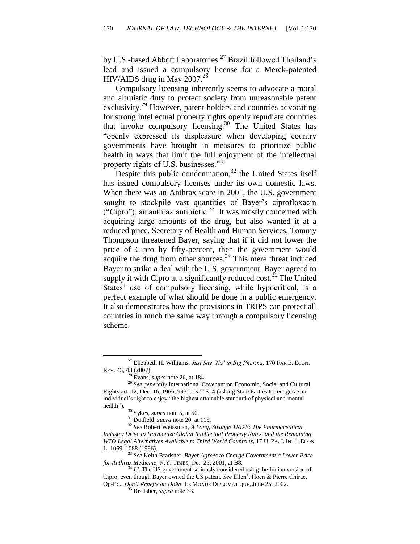by U.S.-based Abbott Laboratories.<sup>27</sup> Brazil followed Thailand's lead and issued a compulsory license for a Merck-patented HIV/AIDS drug in May  $2007.^{28}$ 

Compulsory licensing inherently seems to advocate a moral and altruistic duty to protect society from unreasonable patent exclusivity.<sup>29</sup> However, patent holders and countries advocating for strong intellectual property rights openly repudiate countries that invoke compulsory licensing.<sup>30</sup> The United States has "openly expressed its displeasure when developing country governments have brought in measures to prioritize public health in ways that limit the full enjoyment of the intellectual property rights of U.S. businesses. $^{31}$ 

Despite this public condemnation, $32$  the United States itself has issued compulsory licenses under its own domestic laws. When there was an Anthrax scare in 2001, the U.S. government sought to stockpile vast quantities of Bayer's ciprofloxacin ("Cipro"), an anthrax antibiotic.<sup>33</sup> It was mostly concerned with acquiring large amounts of the drug, but also wanted it at a reduced price. Secretary of Health and Human Services, Tommy Thompson threatened Bayer, saying that if it did not lower the price of Cipro by fifty-percent, then the government would acquire the drug from other sources. $34$  This mere threat induced Bayer to strike a deal with the U.S. government. Bayer agreed to supply it with Cipro at a significantly reduced cost.<sup>35</sup> The United States' use of compulsory licensing, while hypocritical, is a perfect example of what should be done in a public emergency. It also demonstrates how the provisions in TRIPS can protect all countries in much the same way through a compulsory licensing scheme.

<sup>27</sup> Elizabeth H. Williams, *Just Say "No" to Big Pharma,* 170 FAR E. ECON. REV. 43, 43 (2007).

<sup>28</sup> Evans, *supra* note 26, at 184.

<sup>&</sup>lt;sup>29</sup> See generally International Covenant on Economic, Social and Cultural Rights art. 12, Dec. 16, 1966, 993 U.N.T.S. 4 (asking State Parties to recognize an individual's right to enjoy "the highest attainable standard of physical and mental health").

<sup>30</sup> Sykes, *supra* note 5, at 50.

<sup>31</sup> Dutfield, *supra* note 20, at 115.

<sup>32</sup> *See* Robert Weissman, *A Long, Strange TRIPS: The Pharmaceutical Industry Drive to Harmonize Global Intellectual Property Rules, and the Remaining WTO Legal Alternatives Available to Third World Countries*, 17 U. PA. J. INT'L ECON. L. 1069, 1088 (1996).

<sup>33</sup> *See* Keith Bradsher, *Bayer Agrees to Charge Government a Lower Price for Anthrax Medicine*, N.Y. TIMES, Oct. 25, 2001, at B8.

<sup>&</sup>lt;sup>34</sup> *Id*. The US government seriously considered using the Indian version of Cipro, even though Bayer owned the US patent. *See* Ellen't Hoen & Pierre Chirac, Op-Ed., *Don"t Renege on Doha*, LE MONDE DIPLOMATIQUE, June 25, 2002.

<sup>35</sup> Bradsher, *supra* note 33.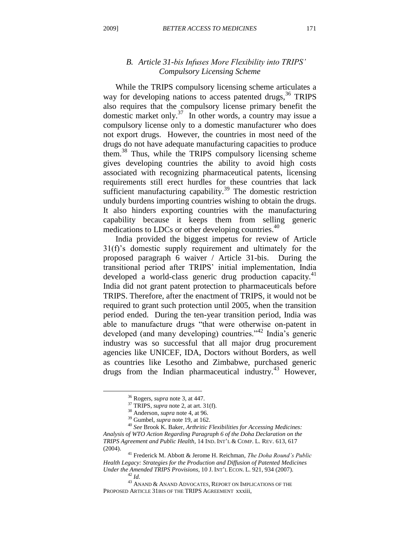# *B. Article 31-bis Infuses More Flexibility into TRIPS" Compulsory Licensing Scheme*

While the TRIPS compulsory licensing scheme articulates a way for developing nations to access patented drugs,  $36$  TRIPS also requires that the compulsory license primary benefit the domestic market only.<sup>37</sup> In other words, a country may issue a compulsory license only to a domestic manufacturer who does not export drugs. However, the countries in most need of the drugs do not have adequate manufacturing capacities to produce them.<sup>38</sup> Thus, while the TRIPS compulsory licensing scheme gives developing countries the ability to avoid high costs associated with recognizing pharmaceutical patents, licensing requirements still erect hurdles for these countries that lack sufficient manufacturing capability. $39$  The domestic restriction unduly burdens importing countries wishing to obtain the drugs. It also hinders exporting countries with the manufacturing capability because it keeps them from selling generic medications to LDCs or other developing countries.<sup>40</sup>

India provided the biggest impetus for review of Article 31(f)'s domestic supply requirement and ultimately for the proposed paragraph 6 waiver / Article 31-bis. During the transitional period after TRIPS' initial implementation, India developed a world-class generic drug production capacity.<sup>41</sup> India did not grant patent protection to pharmaceuticals before TRIPS. Therefore, after the enactment of TRIPS, it would not be required to grant such protection until 2005, when the transition period ended. During the ten-year transition period, India was able to manufacture drugs "that were otherwise on-patent in developed (and many developing) countries.<sup> $242$ </sup> India's generic industry was so successful that all major drug procurement agencies like UNICEF, IDA, Doctors without Borders, as well as countries like Lesotho and Zimbabwe, purchased generic drugs from the Indian pharmaceutical industry.<sup>43</sup> However,

<sup>36</sup> Rogers, *supra* note 3, at 447.

<sup>37</sup> TRIPS, *supra* note 2, at art. 31(f).

<sup>38</sup> Anderson, *supra* note 4, at 96.

<sup>39</sup> Gumbel, *supra* note 19, at 162.

<sup>40</sup> *See* Brook K. Baker, *Arthritic Flexibilities for Accessing Medicines: Analysis of WTO Action Regarding Paragraph 6 of the Doha Declaration on the TRIPS Agreement and Public Health*, 14 IND. INT'L & COMP. L. REV. 613, 617 (2004).

<sup>41</sup> Frederick M. Abbott & Jerome H. Reichman, *The Doha Round"s Public Health Legacy: Strategies for the Production and Diffusion of Patented Medicines Under the Amended TRIPS Provisions*, 10 J. INT'L ECON. L. 921, 934 (2007). <sup>42</sup> *Id.*

<sup>&</sup>lt;sup>43</sup> ANAND & ANAND ADVOCATES, REPORT ON IMPLICATIONS OF THE PROPOSED ARTICLE 31BIS OF THE TRIPS AGREEMENT XXXIII,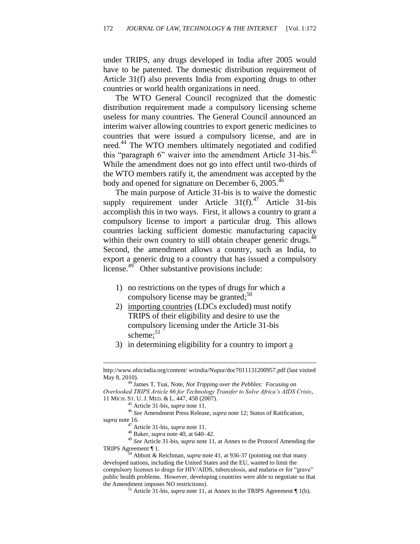under TRIPS, any drugs developed in India after 2005 would have to be patented. The domestic distribution requirement of Article 31(f) also prevents India from exporting drugs to other countries or world health organizations in need.

The WTO General Council recognized that the domestic distribution requirement made a compulsory licensing scheme useless for many countries. The General Council announced an interim waiver allowing countries to export generic medicines to countries that were issued a compulsory license, and are in need.<sup>44</sup> The WTO members ultimately negotiated and codified this "paragraph 6" waiver into the amendment Article 31-bis.<sup>45</sup> While the amendment does not go into effect until two-thirds of the WTO members ratify it, the amendment was accepted by the body and opened for signature on December 6, 2005.<sup>46</sup>

The main purpose of Article 31-bis is to waive the domestic supply requirement under Article  $31(f)$ .<sup>47</sup> Article 31-bis accomplish this in two ways. First, it allows a country to grant a compulsory license to import a particular drug. This allows countries lacking sufficient domestic manufacturing capacity within their own country to still obtain cheaper generic drugs.<sup>48</sup> Second, the amendment allows a country, such as India, to export a generic drug to a country that has issued a compulsory license.<sup>49</sup> Other substantive provisions include:

- 1) no restrictions on the types of drugs for which a compulsory license may be granted; $50$
- 2) importing countries (LDCs excluded) must notify TRIPS of their eligibility and desire to use the compulsory licensing under the Article 31-bis scheme: $51$
- 3) in determining eligibility for a country to import  $\underline{a}$

http://www.nhicindia.org/content/ wrindia/Nupur/doc7011131200957.pdf (last visited May 8, 2010).

<sup>44</sup> James T. Tsai, Note, *Not Tripping over the Pebbles: Focusing on Overlooked TRIPS Article 66 for Technology Transfer to Solve Africa"s AIDS Crisis*, 11 MICH. ST. U. J. MED. & L. 447, 458 (2007).

<sup>45</sup> Article 31-bis, *supra* note 11.

<sup>46</sup> *See* Amendment Press Release, *supra* note 12; Status of Ratification,

*supra* note 16.

<sup>47</sup> Article 31-bis*, supra* note 11.

<sup>48</sup> Baker, *supra* note 40, at 640–42.

<sup>49</sup> *See* Article 31-bis, *supra* note 11, at Annex to the Protocol Amending the TRIPS Agreement ¶ 1.

<sup>50</sup> Abbott & Reichman, *supra* note 41, at 936-37 (pointing out that many developed nations, including the United States and the EU, wanted to limit the compulsory licenses to drugs for HIV/AIDS, tuberculosis, and malaria or for "grave" public health problems. However, developing countries were able to negotiate so that the Amendment imposes NO restrictions).

<sup>51</sup> Article 31-bis, *supra* note 11, at Annex to the TRIPS Agreement ¶ 1(b).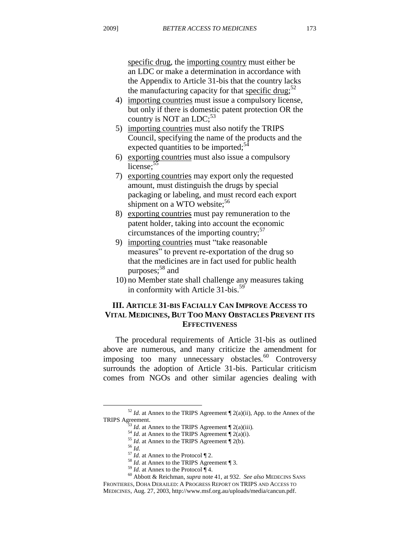specific drug, the importing country must either be an LDC or make a determination in accordance with the Appendix to Article 31-bis that the country lacks the manufacturing capacity for that specific drug;<sup>52</sup>

- 4) importing countries must issue a compulsory license, but only if there is domestic patent protection OR the country is NOT an  $LDC;^{53}$
- 5) importing countries must also notify the TRIPS Council, specifying the name of the products and the expected quantities to be imported; $54$
- 6) exporting countries must also issue a compulsory license; $55$
- 7) exporting countries may export only the requested amount, must distinguish the drugs by special packaging or labeling, and must record each export shipment on a WTO website; $56$
- 8) exporting countries must pay remuneration to the patent holder, taking into account the economic circumstances of the importing country; $57$
- 9) importing countries must "take reasonable" measures" to prevent re-exportation of the drug so that the medicines are in fact used for public health purposes;<sup>58</sup> and
- 10) no Member state shall challenge any measures taking in conformity with Article  $31$ -bis.<sup>59</sup>

# **III. ARTICLE 31-BIS FACIALLY CAN IMPROVE ACCESS TO VITAL MEDICINES, BUT TOO MANY OBSTACLES PREVENT ITS EFFECTIVENESS**

The procedural requirements of Article 31-bis as outlined above are numerous, and many criticize the amendment for imposing too many unnecessary obstacles.<sup>60</sup> Controversy surrounds the adoption of Article 31-bis. Particular criticism comes from NGOs and other similar agencies dealing with

 $52$  *Id.* at Annex to the TRIPS Agreement  $\sqrt{2(a)(ii)}$ , App. to the Annex of the TRIPS Agreement.

 $\frac{53}{53}$  *Id.* at Annex to the TRIPS Agreement  $\sqrt{2(a)(iii)}$ .

 $54$  *Id.* at Annex to the TRIPS Agreement  $\P$  2(a)(i).

<sup>&</sup>lt;sup>55</sup> *Id.* at Annex to the TRIPS Agreement ¶ 2(b).

<sup>56</sup> *Id.*

 $\frac{57}{1}$ *Id.* at Annex to the Protocol ¶ 2.

<sup>58</sup> *Id.* at Annex to the TRIPS Agreement ¶ 3.

<sup>59</sup> *Id.* at Annex to the Protocol ¶ 4.

<sup>60</sup> Abbott & Reichman, *supra* note 41, at 932. *See also* MEDECINS SANS FRONTIERES, DOHA DERAILED: A PROGRESS REPORT ON TRIPS AND ACCESS TO MEDICINES, Aug. 27, 2003, http://www.msf.org.au/uploads/media/cancun.pdf.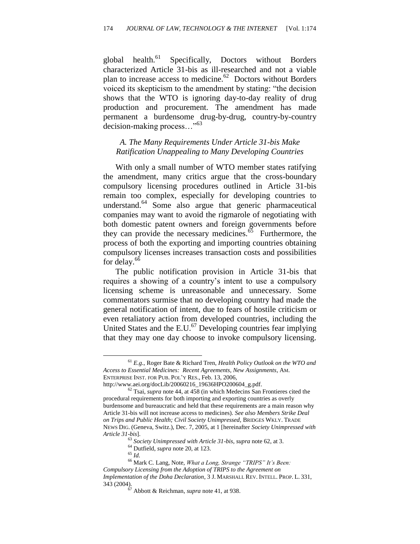global health.<sup>61</sup> Specifically, Doctors without Borders characterized Article 31-bis as ill-researched and not a viable plan to increase access to medicine. $62$  Doctors without Borders voiced its skepticism to the amendment by stating: "the decision shows that the WTO is ignoring day-to-day reality of drug production and procurement. The amendment has made permanent a burdensome drug-by-drug, country-by-country  $decision$ -making process..."<sup>63</sup>

### *A. The Many Requirements Under Article 31-bis Make Ratification Unappealing to Many Developing Countries*

With only a small number of WTO member states ratifying the amendment, many critics argue that the cross-boundary compulsory licensing procedures outlined in Article 31-bis remain too complex, especially for developing countries to understand.<sup>64</sup> Some also argue that generic pharmaceutical companies may want to avoid the rigmarole of negotiating with both domestic patent owners and foreign governments before they can provide the necessary medicines.  $\overline{65}$  Furthermore, the process of both the exporting and importing countries obtaining compulsory licenses increases transaction costs and possibilities for delay. $66$ 

The public notification provision in Article 31-bis that requires a showing of a country's intent to use a compulsory licensing scheme is unreasonable and unnecessary. Some commentators surmise that no developing country had made the general notification of intent, due to fears of hostile criticism or even retaliatory action from developed countries, including the United States and the E.U.<sup>67</sup> Developing countries fear implying that they may one day choose to invoke compulsory licensing.

<sup>61</sup> *E.g.*, Roger Bate & Richard Tren, *Health Policy Outlook on the WTO and Access to Essential Medicines: Recent Agreements, New Assignments*, AM. ENTERPRISE INST. FOR PUB. POL'Y RES., Feb. 13, 2006,

http://www.aei.org/docLib/20060216\_19636HPO200604\_g.pdf.

<sup>62</sup> Tsai, *supra* note 44, at 458 (in which Medecins San Frontieres cited the procedural requirements for both importing and exporting countries as overly burdensome and bureaucratic and held that these requirements are a main reason why Article 31-bis will not increase access to medicines). *See also Members Strike Deal on Trips and Public Health; Civil Society Unimpressed*, BRIDGES WKLY. TRADE NEWS DIG. (Geneva, Switz.), Dec. 7, 2005, at 1 [hereinafter *Society Unimpressed with Article 31-bis*].

<sup>63</sup> *Society Unimpressed with Article 31-bis*, *supra* note 62, at 3.

<sup>64</sup> Dutfield, *supra* note 20, at 123.

<sup>65</sup> *Id.*

<sup>66</sup> Mark C. Lang, Note, *What a Long, Strange "TRIPS" It"s Been: Compulsory Licensing from the Adoption of TRIPS to the Agreement on Implementation of the Doha Declaration*, 3 J. MARSHALL REV. INTELL. PROP. L. 331, 343 (2004).

<sup>67</sup> Abbott & Reichman, *supra* note 41, at 938.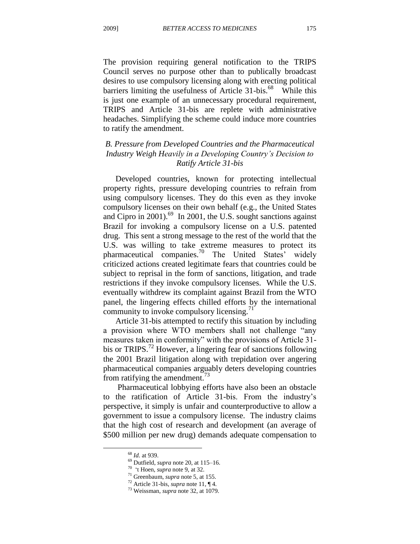The provision requiring general notification to the TRIPS Council serves no purpose other than to publically broadcast desires to use compulsory licensing along with erecting political barriers limiting the usefulness of Article 31-bis.<sup>68</sup> While this is just one example of an unnecessary procedural requirement, TRIPS and Article 31-bis are replete with administrative headaches. Simplifying the scheme could induce more countries to ratify the amendment.

# *B. Pressure from Developed Countries and the Pharmaceutical Industry Weigh Heavily in a Developing Country"s Decision to Ratify Article 31-bis*

Developed countries, known for protecting intellectual property rights, pressure developing countries to refrain from using compulsory licenses. They do this even as they invoke compulsory licenses on their own behalf (e.g., the United States and Cipro in 2001).<sup>69</sup> In 2001, the U.S. sought sanctions against Brazil for invoking a compulsory license on a U.S. patented drug. This sent a strong message to the rest of the world that the U.S. was willing to take extreme measures to protect its pharmaceutical companies.<sup>70</sup> The United States' widely criticized actions created legitimate fears that countries could be subject to reprisal in the form of sanctions, litigation, and trade restrictions if they invoke compulsory licenses. While the U.S. eventually withdrew its complaint against Brazil from the WTO panel, the lingering effects chilled efforts by the international community to invoke compulsory licensing.<sup>71</sup>

Article 31-bis attempted to rectify this situation by including a provision where WTO members shall not challenge "any measures taken in conformity" with the provisions of Article 31bis or TRIPS.<sup>72</sup> However, a lingering fear of sanctions following the 2001 Brazil litigation along with trepidation over angering pharmaceutical companies arguably deters developing countries from ratifying the amendment. $73$ 

Pharmaceutical lobbying efforts have also been an obstacle to the ratification of Article 31-bis. From the industry's perspective, it simply is unfair and counterproductive to allow a government to issue a compulsory license. The industry claims that the high cost of research and development (an average of \$500 million per new drug) demands adequate compensation to

<sup>68</sup> *Id.* at 939.

<sup>69</sup> Dutfield, *supra* note 20, at 115–16.

<sup>70</sup> ‗t Hoen, *supra* note 9, at 32.

<sup>71</sup> Greenbaum, *supra* note 5, at 155.

<sup>72</sup> Article 31-bis, *supra* note 11, ¶ 4.

<sup>73</sup> Weissman, *supra* note 32, at 1079.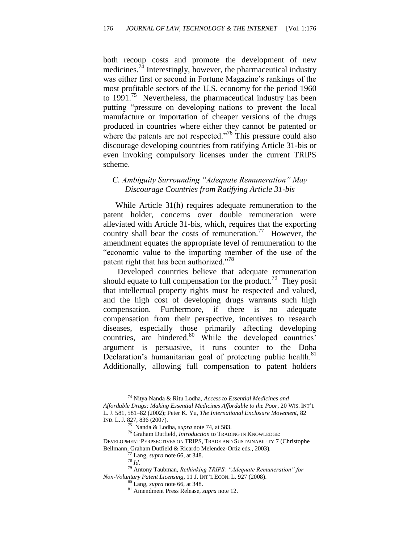both recoup costs and promote the development of new medicines.<sup>74</sup> Interestingly, however, the pharmaceutical industry was either first or second in Fortune Magazine's rankings of the most profitable sectors of the U.S. economy for the period 1960 to 1991.<sup>75</sup> Nevertheless, the pharmaceutical industry has been putting "pressure on developing nations to prevent the local manufacture or importation of cheaper versions of the drugs produced in countries where either they cannot be patented or where the patents are not respected. $176$  This pressure could also discourage developing countries from ratifying Article 31-bis or even invoking compulsory licenses under the current TRIPS scheme.

# *C. Ambiguity Surrounding "Adequate Remuneration" May Discourage Countries from Ratifying Article 31-bis*

While Article 31(h) requires adequate remuneration to the patent holder, concerns over double remuneration were alleviated with Article 31-bis, which, requires that the exporting country shall bear the costs of remuneration.<sup>77</sup> However, the amendment equates the appropriate level of remuneration to the ―economic value to the importing member of the use of the patent right that has been authorized. $^{78}$ 

Developed countries believe that adequate remuneration should equate to full compensation for the product.<sup>79</sup> They posit that intellectual property rights must be respected and valued, and the high cost of developing drugs warrants such high compensation. Furthermore, if there is no adequate compensation from their perspective, incentives to research diseases, especially those primarily affecting developing countries, are hindered.<sup>80</sup> While the developed countries' argument is persuasive, it runs counter to the Doha Declaration's humanitarian goal of protecting public health.<sup>81</sup> Additionally, allowing full compensation to patent holders

 $\overline{a}$ <sup>74</sup> Nitya Nanda & Ritu Lodha, *Access to Essential Medicines and Affordable Drugs: Making Essential Medicines Affordable to the Poor*, 20 WIS. INT'L L. J. 581, 581–82 (2002); Peter K. Yu, *The International Enclosure Movement*, 82 IND. L. J. 827, 836 (2007).

<sup>75</sup> Nanda & Lodha, *supra* note 74, at 583.

<sup>76</sup> Graham Dutfield, *Introduction* to TRADING IN KNOWLEDGE: DEVELOPMENT PERPSECTIVES ON TRIPS, TRADE AND SUSTAINABILITY 7 (Christophe Bellmann, Graham Dutfield & Ricardo Melendez-Ortiz eds., 2003).

<sup>77</sup> Lang, *supra* note 66, at 348.

<sup>78</sup> *Id.*

<sup>79</sup> Antony Taubman, *Rethinking TRIPS: "Adequate Remuneration" for Non-Voluntary Patent Licensing*, 11 J. INT'L ECON. L. 927 (2008).

<sup>80</sup> Lang, *supra* note 66, at 348.

<sup>81</sup> Amendment Press Release, *supra* note 12.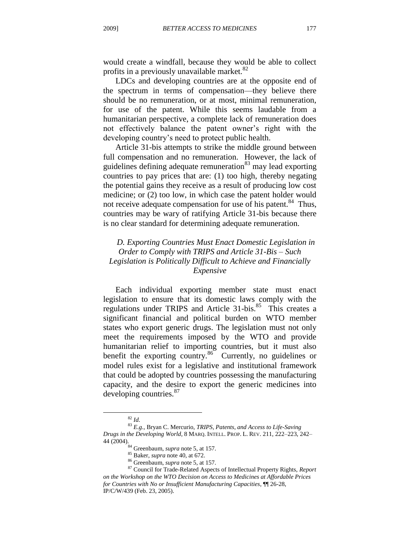would create a windfall, because they would be able to collect profits in a previously unavailable market.<sup>82</sup>

LDCs and developing countries are at the opposite end of the spectrum in terms of compensation—they believe there should be no remuneration, or at most, minimal remuneration, for use of the patent. While this seems laudable from a humanitarian perspective, a complete lack of remuneration does not effectively balance the patent owner's right with the developing country's need to protect public health.

Article 31-bis attempts to strike the middle ground between full compensation and no remuneration. However, the lack of guidelines defining adequate remuneration<sup>83</sup> may lead exporting countries to pay prices that are: (1) too high, thereby negating the potential gains they receive as a result of producing low cost medicine; or (2) too low, in which case the patent holder would not receive adequate compensation for use of his patent.  $84$  Thus, countries may be wary of ratifying Article 31-bis because there is no clear standard for determining adequate remuneration.

# *D. Exporting Countries Must Enact Domestic Legislation in Order to Comply with TRIPS and Article 31-Bis – Such Legislation is Politically Difficult to Achieve and Financially Expensive*

Each individual exporting member state must enact legislation to ensure that its domestic laws comply with the regulations under TRIPS and Article 31-bis.<sup>85</sup> This creates a significant financial and political burden on WTO member states who export generic drugs. The legislation must not only meet the requirements imposed by the WTO and provide humanitarian relief to importing countries, but it must also benefit the exporting country.<sup>86</sup> Currently, no guidelines or model rules exist for a legislative and institutional framework that could be adopted by countries possessing the manufacturing capacity, and the desire to export the generic medicines into developing countries.<sup>87</sup>

<sup>82</sup> *Id.*

<sup>83</sup> *E.g.,* Bryan C. Mercurio, *TRIPS, Patents, and Access to Life-Saving Drugs in the Developing World*, 8 MARQ. INTELL. PROP. L. REV. 211, 222–223, 242– 44 (2004).

<sup>84</sup> Greenbaum, *supra* note 5, at 157.

<sup>85</sup> Baker, *supra* note 40, at 672.

<sup>86</sup> Greenbaum, *supra* note 5, at 157.

<sup>87</sup> Council for Trade-Related Aspects of Intellectual Property Rights, *Report on the Workshop on the WTO Decision on Access to Medicines at Affordable Prices for Countries with No or Insufficient Manufacturing Capacities*, ¶¶ 26-28, IP/C/W/439 (Feb. 23, 2005).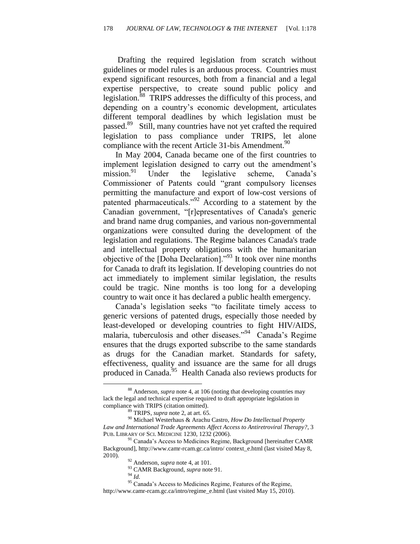Drafting the required legislation from scratch without guidelines or model rules is an arduous process. Countries must expend significant resources, both from a financial and a legal expertise perspective, to create sound public policy and legislation.<sup>88</sup> TRIPS addresses the difficulty of this process, and depending on a country's economic development, articulates different temporal deadlines by which legislation must be passed.<sup>89</sup> Still, many countries have not yet crafted the required legislation to pass compliance under TRIPS, let alone compliance with the recent Article 31-bis Amendment.<sup>90</sup>

In May 2004, Canada became one of the first countries to implement legislation designed to carry out the amendment's mission.<sup>91</sup> Under the legislative scheme, Canada's Commissioner of Patents could "grant compulsory licenses permitting the manufacture and export of low-cost versions of patented pharmaceuticals."<sup>92</sup> According to a statement by the Canadian government, "[r]epresentatives of Canada's generic and brand name drug companies, and various non-governmental organizations were consulted during the development of the legislation and regulations. The Regime balances Canada's trade and intellectual property obligations with the humanitarian objective of the  $\tilde{D}$ oha Declaration].<sup>93</sup> It took over nine months for Canada to draft its legislation. If developing countries do not act immediately to implement similar legislation, the results could be tragic. Nine months is too long for a developing country to wait once it has declared a public health emergency.

Canada's legislation seeks "to facilitate timely access to generic versions of patented drugs, especially those needed by least-developed or developing countries to fight HIV/AIDS, malaria, tuberculosis and other diseases."<sup>94</sup> Canada's Regime ensures that the drugs exported subscribe to the same standards as drugs for the Canadian market. Standards for safety, effectiveness, quality and issuance are the same for all drugs produced in Canada.<sup>95</sup> Health Canada also reviews products for

<sup>88</sup> Anderson, *supra* note 4, at 106 (noting that developing countries may lack the legal and technical expertise required to draft appropriate legislation in compliance with TRIPS (citation omitted).

<sup>89</sup> TRIPS, *supra* note 2, at art. 65.

<sup>90</sup> Michael Westerhaus & Arachu Castro, *How Do Intellectual Property Law and International Trade Agreements Affect Access to Antiretroviral Therapy?*, 3 PUB. LIBRARY OF SCI. MEDICINE 1230, 1232 (2006).

<sup>&</sup>lt;sup>91</sup> Canada's Access to Medicines Regime, Background [hereinafter CAMR Background], http://www.camr-rcam.gc.ca/intro/ context\_e.html (last visited May 8, 2010).

<sup>92</sup> Anderson, *supra* note 4, at 101.

<sup>93</sup> CAMR Background, *supra* note 91.

<sup>94</sup> *Id.*

<sup>&</sup>lt;sup>95</sup> Canada's Access to Medicines Regime, Features of the Regime, http://www.camr-rcam.gc.ca/intro/regime\_e.html (last visited May 15, 2010).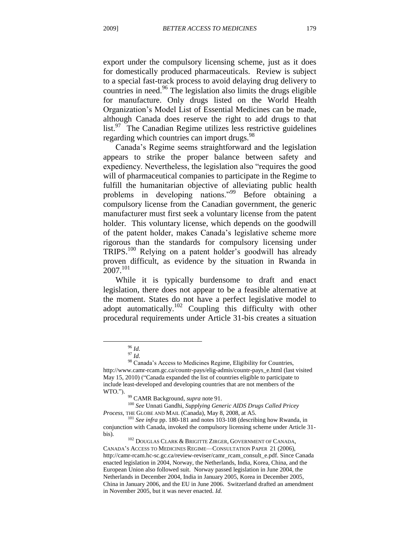export under the compulsory licensing scheme, just as it does for domestically produced pharmaceuticals. Review is subject to a special fast-track process to avoid delaying drug delivery to countries in need. $96$  The legislation also limits the drugs eligible for manufacture. Only drugs listed on the World Health Organization's Model List of Essential Medicines can be made, although Canada does reserve the right to add drugs to that list.<sup>97</sup> The Canadian Regime utilizes less restrictive guidelines regarding which countries can import drugs.<sup>98</sup>

Canada's Regime seems straightforward and the legislation appears to strike the proper balance between safety and expediency. Nevertheless, the legislation also "requires the good will of pharmaceutical companies to participate in the Regime to fulfill the humanitarian objective of alleviating public health problems in developing nations."<sup>99</sup> Before obtaining a compulsory license from the Canadian government, the generic manufacturer must first seek a voluntary license from the patent holder. This voluntary license, which depends on the goodwill of the patent holder, makes Canada's legislative scheme more rigorous than the standards for compulsory licensing under TRIPS.<sup>100</sup> Relying on a patent holder's goodwill has already proven difficult, as evidence by the situation in Rwanda in 2007.<sup>101</sup>

While it is typically burdensome to draft and enact legislation, there does not appear to be a feasible alternative at the moment. States do not have a perfect legislative model to adopt automatically.<sup>102</sup> Coupling this difficulty with other procedural requirements under Article 31-bis creates a situation

<sup>96</sup> *Id.*

 $^{97}$  *Id.* 

<sup>&</sup>lt;sup>98</sup> Canada's Access to Medicines Regime, Eligibility for Countries, http://www.camr-rcam.gc.ca/countr-pays/elig-admis/countr-pays\_e.html (last visited May 15, 2010) ("Canada expanded the list of countries eligible to participate to include least-developed and developing countries that are not members of the WTO.").

<sup>99</sup> CAMR Background, *supra* note 91.

<sup>100</sup> *See* Unnati Gandhi, *Supplying Generic AIDS Drugs Called Pricey Process*, THE GLOBE AND MAIL (Canada), May 8, 2008, at A5.

<sup>101</sup> *See infra* pp. 180-181 and notes 103-108 (describing how Rwanda, in conjunction with Canada, invoked the compulsory licensing scheme under Article 31 bis).

<sup>&</sup>lt;sup>102</sup> DOUGLAS CLARK & BRIGITTE ZIRGER, GOVERNMENT OF CANADA, CANADA'S ACCESS TO MEDICINES REGIME—CONSULTATION PAPER 21 (2006), http://camr-rcam.hc-sc.gc.ca/review-reviser/camr\_rcam\_consult\_e.pdf. Since Canada enacted legislation in 2004, Norway, the Netherlands, India, Korea, China, and the European Union also followed suit. Norway passed legislation in June 2004, the Netherlands in December 2004, India in January 2005, Korea in December 2005, China in January 2006, and the EU in June 2006. Switzerland drafted an amendment in November 2005, but it was never enacted. *Id.*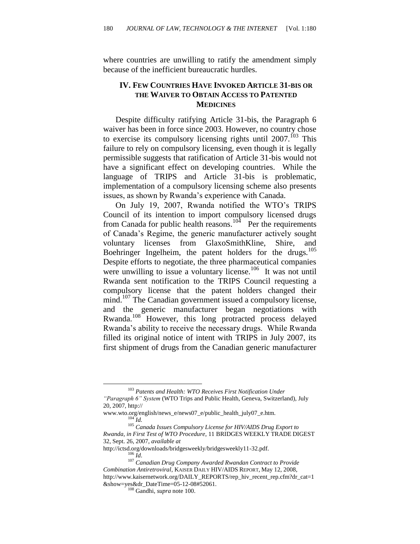where countries are unwilling to ratify the amendment simply because of the inefficient bureaucratic hurdles.

# **IV. FEW COUNTRIES HAVE INVOKED ARTICLE 31-BIS OR THE WAIVER TO OBTAIN ACCESS TO PATENTED MEDICINES**

Despite difficulty ratifying Article 31-bis, the Paragraph 6 waiver has been in force since 2003. However, no country chose to exercise its compulsory licensing rights until  $2007$ .<sup>103</sup> This failure to rely on compulsory licensing, even though it is legally permissible suggests that ratification of Article 31-bis would not have a significant effect on developing countries. While the language of TRIPS and Article 31-bis is problematic, implementation of a compulsory licensing scheme also presents issues, as shown by Rwanda's experience with Canada.

On July 19, 2007, Rwanda notified the WTO's TRIPS Council of its intention to import compulsory licensed drugs from Canada for public health reasons.<sup>104</sup> Per the requirements of Canada's Regime, the generic manufacturer actively sought voluntary licenses from GlaxoSmithKline, Shire, and Boehringer Ingelheim, the patent holders for the drugs.<sup>105</sup> Despite efforts to negotiate, the three pharmaceutical companies were unwilling to issue a voluntary license.<sup>106</sup> It was not until Rwanda sent notification to the TRIPS Council requesting a compulsory license that the patent holders changed their mind.<sup>107</sup> The Canadian government issued a compulsory license, and the generic manufacturer began negotiations with Rwanda.<sup>108</sup> However, this long protracted process delayed Rwanda's ability to receive the necessary drugs. While Rwanda filled its original notice of intent with TRIPS in July 2007, its first shipment of drugs from the Canadian generic manufacturer

<sup>103</sup> *Patents and Health: WTO Receives First Notification Under "Paragraph 6" System* (WTO Trips and Public Health, Geneva, Switzerland), July

<sup>20, 2007,</sup> http://

www.wto.org/english/news\_e/news07\_e/public\_health\_july07\_e.htm.  $^{104}$ *Id.* 

<sup>105</sup> *Canada Issues Compulsory License for HIV/AIDS Drug Export to Rwanda, in First Test of WTO Procedure*, 11 BRIDGES WEEKLY TRADE DIGEST 32, Sept. 26, 2007, *available at*

http://ictsd.org/downloads/bridgesweekly/bridgesweekly11-32.pdf.

<sup>106</sup> *Id*.

<sup>107</sup> *Canadian Drug Company Awarded Rwandan Contract to Provide Combination Antiretroviral*, KAISER DAILY HIV/AIDS REPORT, May 12, 2008, http://www.kaisernetwork.org/DAILY\_REPORTS/rep\_hiv\_recent\_rep.cfm?dr\_cat=1 &show=yes&dr\_DateTime=05-12-08#52061.

<sup>108</sup> Gandhi, *supra* note 100.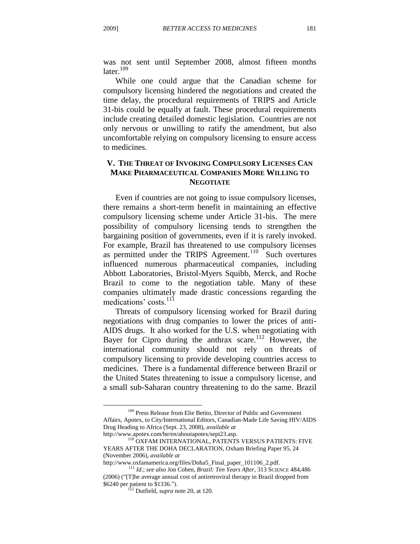$\overline{a}$ 

was not sent until September 2008, almost fifteen months  $later.<sup>109</sup>$ 

While one could argue that the Canadian scheme for compulsory licensing hindered the negotiations and created the time delay, the procedural requirements of TRIPS and Article 31-bis could be equally at fault. These procedural requirements include creating detailed domestic legislation. Countries are not only nervous or unwilling to ratify the amendment, but also uncomfortable relying on compulsory licensing to ensure access to medicines.

# **V. THE THREAT OF INVOKING COMPULSORY LICENSES CAN MAKE PHARMACEUTICAL COMPANIES MORE WILLING TO NEGOTIATE**

Even if countries are not going to issue compulsory licenses, there remains a short-term benefit in maintaining an effective compulsory licensing scheme under Article 31-bis. The mere possibility of compulsory licensing tends to strengthen the bargaining position of governments, even if it is rarely invoked. For example, Brazil has threatened to use compulsory licenses as permitted under the TRIPS Agreement.<sup>110</sup> Such overtures influenced numerous pharmaceutical companies, including Abbott Laboratories, Bristol-Myers Squibb, Merck, and Roche Brazil to come to the negotiation table. Many of these companies ultimately made drastic concessions regarding the medications' costs.<sup>111</sup>

Threats of compulsory licensing worked for Brazil during negotiations with drug companies to lower the prices of anti-AIDS drugs. It also worked for the U.S. when negotiating with Bayer for Cipro during the anthrax scare.<sup>112</sup> However, the international community should not rely on threats of compulsory licensing to provide developing countries access to medicines. There is a fundamental difference between Brazil or the United States threatening to issue a compulsory license, and a small sub-Saharan country threatening to do the same. Brazil

<sup>&</sup>lt;sup>109</sup> Press Release from Elie Betito, Director of Public and Government Affairs, Apotex, to City/International Editors, Canadian-Made Life Saving HIV/AIDS Drug Heading to Africa (Sept. 23, 2008), *available at* http://www.apotex.com/be/en/aboutapotex/sept23.asp.

<sup>110</sup> OXFAM INTERNATIONAL, PATENTS VERSUS PATIENTS: FIVE YEARS AFTER THE DOHA DECLARATION, Oxham Briefing Paper 95, 24 (November 2006), *available at*

http://www.oxfamamerica.org/files/Doha5\_Final\_paper\_101106\_2.pdf.

<sup>111</sup> *Id.*; *see also* Jon Cohen, *Brazil: Ten Years After*, 313 SCIENCE 484,486 (2006) ("[T]he average annual cost of antiretroviral therapy in Brazil dropped from \$6240 per patient to \$1336.").

<sup>112</sup> Dutfield, *supra* note 20, at 120.